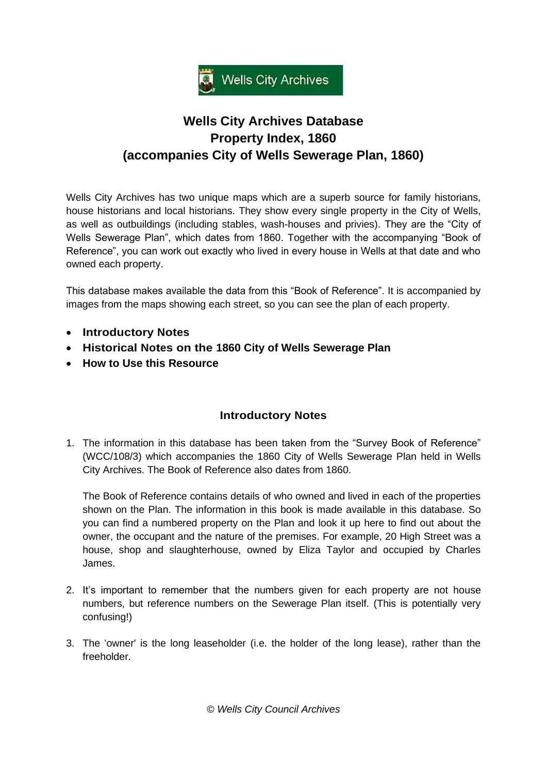

## **Wells City Archives Database Property Index, 1860 (accompanies City of Wells Sewerage Plan, 1860)**

Wells City Archives has two unique maps which are a superb source for family historians, house historians and local historians. They show every single property in the City of Wells, as well as outbuildings (including stables, wash-houses and privies). They are the "City of Wells Sewerage Plan", which dates from 1860. Together with the accompanying "Book of Reference", you can work out exactly who lived in every house in Wells at that date and who owned each property.

This database makes available the data from this "Book of Reference". It is accompanied by images from the maps showing each street, so you can see the plan of each property.

- **[Introductory](#page-0-0) Notes**
- **Historical Notes [on the 1860 City of Wells Sewerage Plan](#page-1-0)**
- **[How to Use this Resource](#page-2-0)**

## **Introductory Notes**

<span id="page-0-0"></span>1. The information in this database has been taken from the "Survey Book of Reference" (WCC/108/3) which accompanies the 1860 City of Wells Sewerage Plan held in Wells City Archives. The Book of Reference also dates from 1860.

The Book of Reference contains details of who owned and lived in each of the properties shown on the Plan. The information in this book is made available in this database. So you can find a numbered property on the Plan and look it up here to find out about the owner, the occupant and the nature of the premises. For example, 20 High Street was a house, shop and slaughterhouse, owned by Eliza Taylor and occupied by Charles James.

- 2. It's important to remember that the numbers given for each property are not house numbers, but reference numbers on the Sewerage Plan itself. (This is potentially very confusing!)
- 3. The 'owner' is the long leaseholder (i.e. the holder of the long lease), rather than the freeholder.

*© Wells City Council Archives*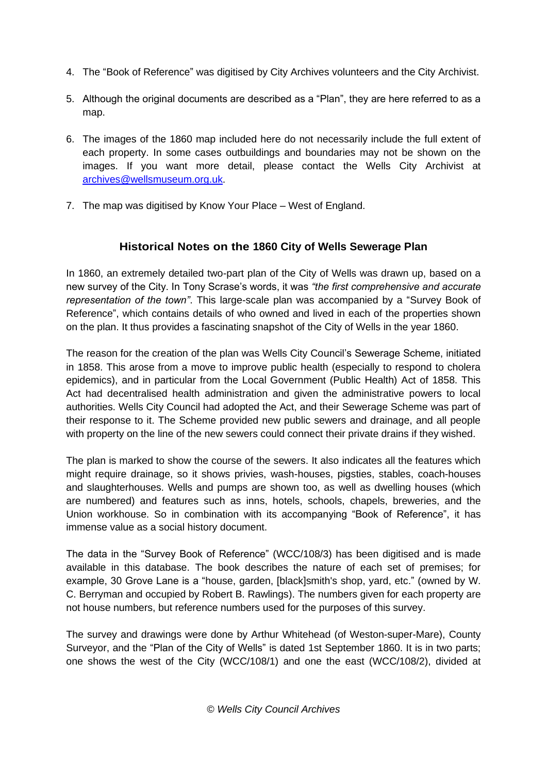- 4. The "Book of Reference" was digitised by City Archives volunteers and the City Archivist.
- 5. Although the original documents are described as a "Plan", they are here referred to as a map.
- 6. The images of the 1860 map included here do not necessarily include the full extent of each property. In some cases outbuildings and boundaries may not be shown on the images. If you want more detail, please contact the Wells City Archivist at [archives@wellsmuseum.org.uk.](mailto:archives@wellsmuseum.org.uk)
- 7. The map was digitised by Know Your Place West of England.

## **Historical Notes on the 1860 City of Wells Sewerage Plan**

<span id="page-1-0"></span>In 1860, an extremely detailed two-part plan of the City of Wells was drawn up, based on a new survey of the City. In Tony Scrase's words, it was *"the first comprehensive and accurate representation of the town"*. This large-scale plan was accompanied by a "Survey Book of Reference", which contains details of who owned and lived in each of the properties shown on the plan. It thus provides a fascinating snapshot of the City of Wells in the year 1860.

The reason for the creation of the plan was Wells City Council's Sewerage Scheme, initiated in 1858. This arose from a move to improve public health (especially to respond to cholera epidemics), and in particular from the Local Government (Public Health) Act of 1858. This Act had decentralised health administration and given the administrative powers to local authorities. Wells City Council had adopted the Act, and their Sewerage Scheme was part of their response to it. The Scheme provided new public sewers and drainage, and all people with property on the line of the new sewers could connect their private drains if they wished.

The plan is marked to show the course of the sewers. It also indicates all the features which might require drainage, so it shows privies, wash-houses, pigsties, stables, coach-houses and slaughterhouses. Wells and pumps are shown too, as well as dwelling houses (which are numbered) and features such as inns, hotels, schools, chapels, breweries, and the Union workhouse. So in combination with its accompanying "Book of Reference", it has immense value as a social history document.

The data in the "Survey Book of Reference" (WCC/108/3) has been digitised and is made available in this database. The book describes the nature of each set of premises; for example, 30 Grove Lane is a "house, garden, [black]smith's shop, yard, etc." (owned by W. C. Berryman and occupied by Robert B. Rawlings). The numbers given for each property are not house numbers, but reference numbers used for the purposes of this survey.

The survey and drawings were done by Arthur Whitehead (of Weston-super-Mare), County Surveyor, and the "Plan of the City of Wells" is dated 1st September 1860. It is in two parts; one shows the west of the City (WCC/108/1) and one the east (WCC/108/2), divided at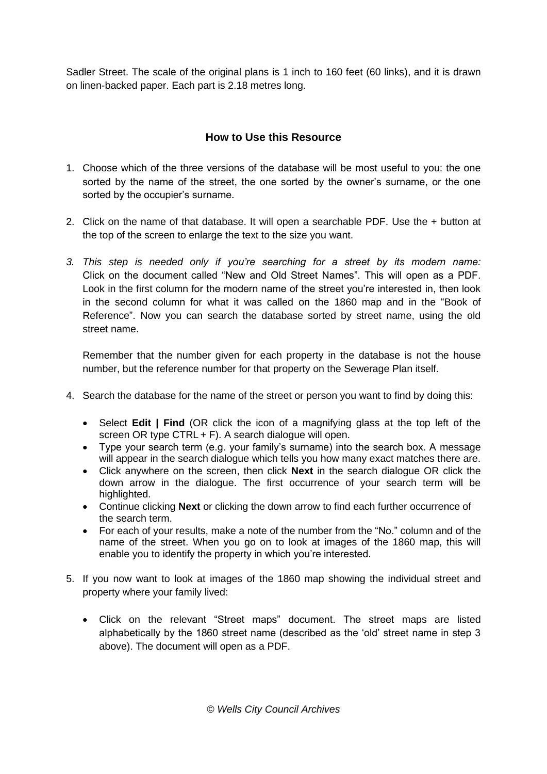Sadler Street. The scale of the original plans is 1 inch to 160 feet (60 links), and it is drawn on linen-backed paper. Each part is 2.18 metres long.

## **How to Use this Resource**

- <span id="page-2-0"></span>1. Choose which of the three versions of the database will be most useful to you: the one sorted by the name of the street, the one sorted by the owner's surname, or the one sorted by the occupier's surname.
- 2. Click on the name of that database. It will open a searchable PDF. Use the + button at the top of the screen to enlarge the text to the size you want.
- *3. This step is needed only if you're searching for a street by its modern name:* Click on the document called "New and Old Street Names". This will open as a PDF. Look in the first column for the modern name of the street you're interested in, then look in the second column for what it was called on the 1860 map and in the "Book of Reference". Now you can search the database sorted by street name, using the old street name.

Remember that the number given for each property in the database is not the house number, but the reference number for that property on the Sewerage Plan itself.

- 4. Search the database for the name of the street or person you want to find by doing this:
	- Select **Edit | Find** (OR click the icon of a magnifying glass at the top left of the screen OR type CTRL + F). A search dialogue will open.
	- Type your search term (e.g. your family's surname) into the search box. A message will appear in the search dialogue which tells you how many exact matches there are.
	- Click anywhere on the screen, then click **Next** in the search dialogue OR click the down arrow in the dialogue. The first occurrence of your search term will be highlighted.
	- Continue clicking **Next** or clicking the down arrow to find each further occurrence of the search term.
	- For each of your results, make a note of the number from the "No." column and of the name of the street. When you go on to look at images of the 1860 map, this will enable you to identify the property in which you're interested.
- 5. If you now want to look at images of the 1860 map showing the individual street and property where your family lived:
	- Click on the relevant "Street maps" document. The street maps are listed alphabetically by the 1860 street name (described as the 'old' street name in step 3 above). The document will open as a PDF.